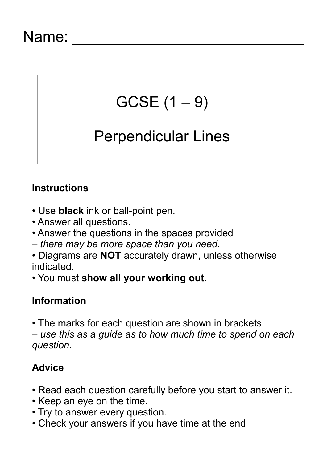### Name:

# $GCSE(1 - 9)$

## Perpendicular Lines

#### **Instructions**

- Use **black** ink or ball-point pen.
- Answer all questions.
- Answer the questions in the spaces provided
- *there may be more space than you need.*
- Diagrams are **NOT** accurately drawn, unless otherwise indicated.
- You must **show all your working out.**

#### **Information**

• The marks for each question are shown in brackets *– use this as a guide as to how much time to spend on each question.*

#### **Advice**

- Read each question carefully before you start to answer it.
- Keep an eye on the time.
- Try to answer every question.
- Check your answers if you have time at the end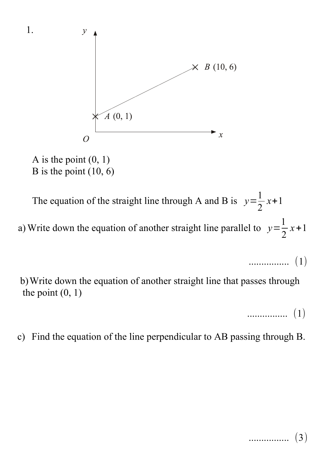



The equation of the straight line through A and B is  $y=$ 1 2 *x*+1 a) Write down the equation of another straight line parallel to  $y=$ 1 2 *x*+1

................ (1)

b)Write down the equation of another straight line that passes through the point  $(0, 1)$ 

................ (1)

c) Find the equation of the line perpendicular to AB passing through B.

................ (3)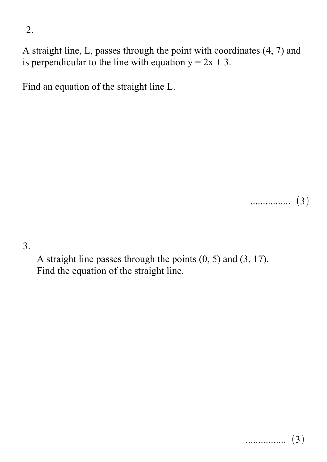A straight line, L, passes through the point with coordinates (4, 7) and is perpendicular to the line with equation  $y = 2x + 3$ .

Find an equation of the straight line L.

................ (3)

3.

A straight line passes through the points (0, 5) and (3, 17). Find the equation of the straight line.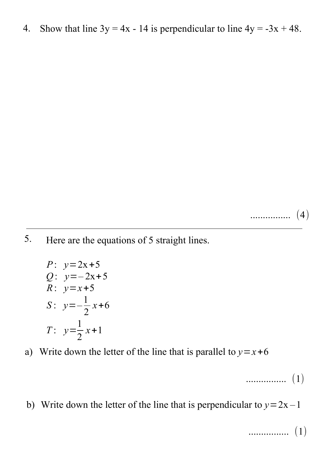4. Show that line  $3y = 4x - 14$  is perpendicular to line  $4y = -3x + 48$ .

................ (4)

Here are the equations of 5 straight lines. 5.

P: 
$$
y=2x+5
$$
  
\nQ:  $y=-2x+5$   
\nR:  $y=x+5$   
\nS:  $y=-\frac{1}{2}x+6$   
\nT:  $y=\frac{1}{2}x+1$ 

a) Write down the letter of the line that is parallel to  $y=x+6$ 

................ (1)

b) Write down the letter of the line that is perpendicular to  $y=2x-1$ 

................ (1)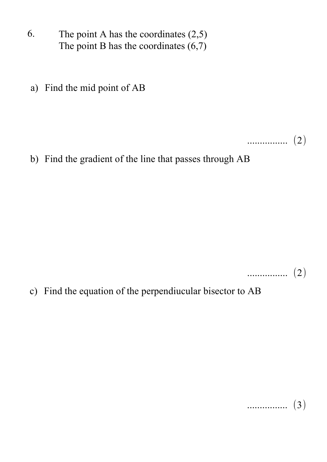- 6. The point A has the coordinates  $(2,5)$ The point B has the coordinates  $(6,7)$
- a) Find the mid point of AB

................ (2)

b) Find the gradient of the line that passes through AB

................ (2)

c) Find the equation of the perpendiucular bisector to AB

................ (3)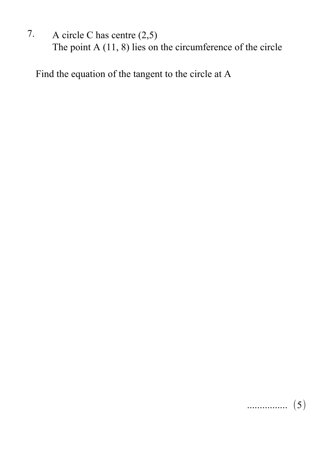7. A circle C has centre (2,5) The point A  $(11, 8)$  lies on the circumference of the circle

Find the equation of the tangent to the circle at A

................ (5)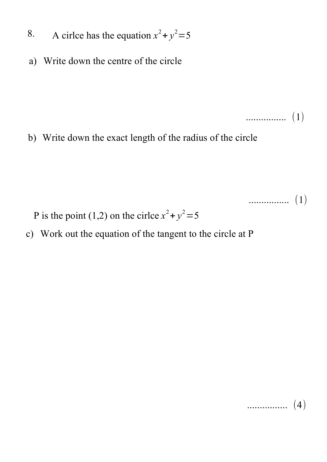- 8. A cirlce has the equation  $x^2 + y^2 = 5$
- a) Write down the centre of the circle

b) Write down the exact length of the radius of the circle

................ (1)

P is the point (1,2) on the cirlce  $x^2 + y^2 = 5$ 

c) Work out the equation of the tangent to the circle at P

$$
\cdots \cdots \cdots \cdots \cdots \quad (4)
$$

................ (1)